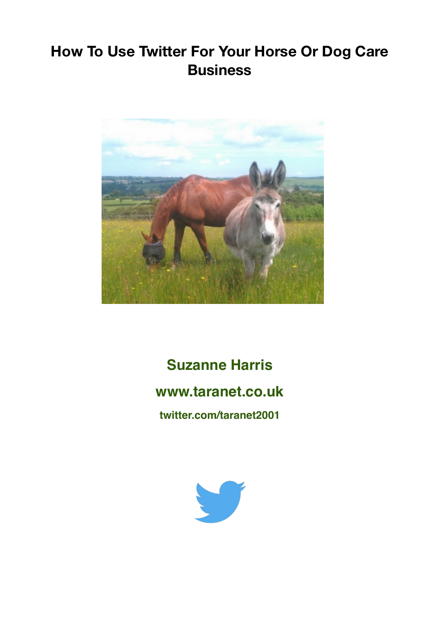## **How To Use Twitter For Your Horse Or Dog Care Business**



**Suzanne Harris www.taranet.co.uk twitter.com/taranet2001**